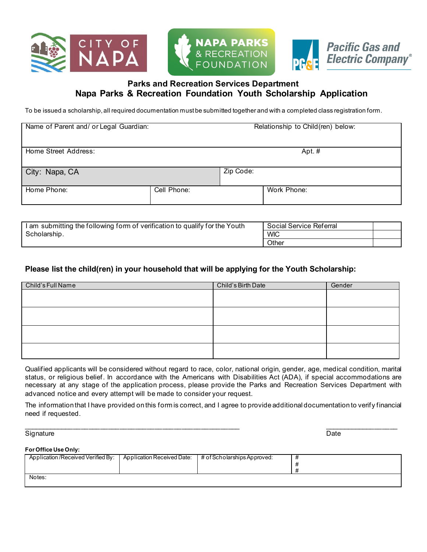

# **Parks and Recreation Services Department Napa Parks & Recreation Foundation Youth Scholarship Application**

To be issued a scholarship, all required documentation must be submitted together and with a completed class registration form.

| Name of Parent and/ or Legal Guardian: |             |           | Relationship to Child(ren) below: |
|----------------------------------------|-------------|-----------|-----------------------------------|
| Home Street Address:                   |             |           | Apt. $#$                          |
| City: Napa, CA                         |             | Zip Code: |                                   |
| Home Phone:                            | Cell Phone: |           | Work Phone:                       |

| 1 submitting the following form of verification to qualify for the Youth<br>∖am | Social Service Referral |  |
|---------------------------------------------------------------------------------|-------------------------|--|
| Scholarship.                                                                    | <b>WIC</b>              |  |
|                                                                                 | Other                   |  |

### **Please list the child(ren) in your household that will be applying for the Youth Scholarship:**

| Child's Full Name | Child's Birth Date | Gender |
|-------------------|--------------------|--------|
|                   |                    |        |
|                   |                    |        |
|                   |                    |        |
|                   |                    |        |
|                   |                    |        |
|                   |                    |        |
|                   |                    |        |
|                   |                    |        |

Qualified applicants will be considered without regard to race, color, national origin, gender, age, medical condition, marital status, or religious belief. In accordance with the Americans with Disabilities Act (ADA), if special accommodations are necessary at any stage of the application process, please provide the Parks and Recreation Services Department with advanced notice and every attempt will be made to consider your request.

The information that I have provided on this form is correct, and I agree to provide additional documentation to verify financial need if requested.

Signature Date

\_\_\_\_\_\_\_\_\_\_\_\_\_\_\_\_\_\_\_\_\_\_\_\_\_\_\_\_\_\_\_\_\_\_\_\_\_\_\_\_\_\_\_\_\_\_\_\_\_\_\_\_\_\_\_\_ \_\_\_\_\_\_\_\_\_\_\_\_\_\_\_\_\_\_\_

#### **For Office Use Only:**

| Application/Received Verified By: | Application Received Date: | $\pm$ # of Scholarships Approved: |  |
|-----------------------------------|----------------------------|-----------------------------------|--|
|                                   |                            |                                   |  |
|                                   |                            |                                   |  |
| Notes:                            |                            |                                   |  |
|                                   |                            |                                   |  |